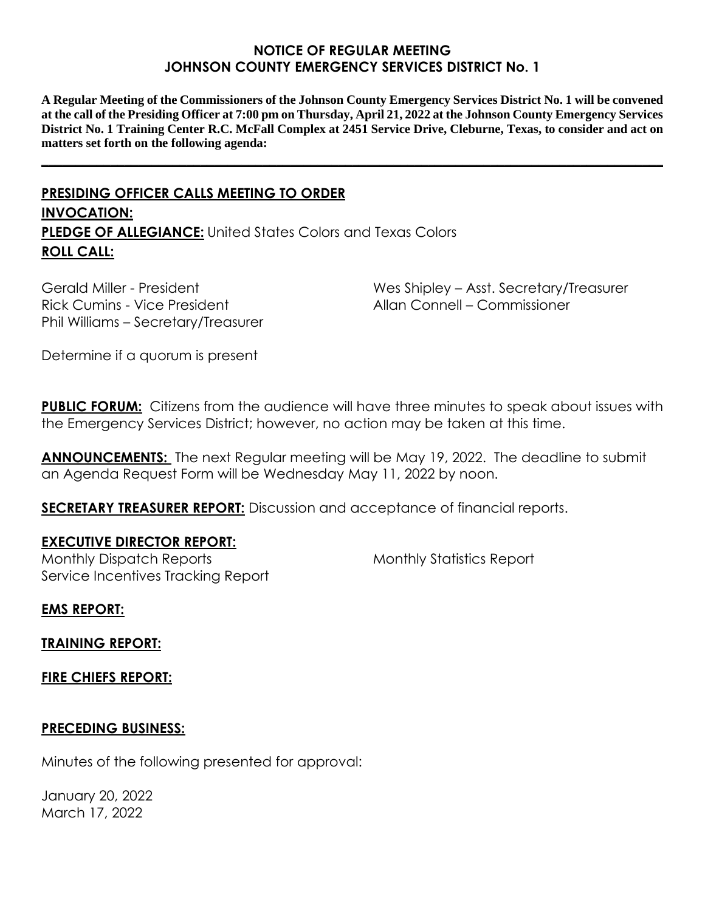### **NOTICE OF REGULAR MEETING JOHNSON COUNTY EMERGENCY SERVICES DISTRICT No. 1**

**A Regular Meeting of the Commissioners of the Johnson County Emergency Services District No. 1 will be convened at the call of the Presiding Officer at 7:00 pm on Thursday, April 21, 2022 at the Johnson County Emergency Services District No. 1 Training Center R.C. McFall Complex at 2451 Service Drive, Cleburne, Texas, to consider and act on matters set forth on the following agenda:**

**\_\_\_\_\_\_\_\_\_\_\_\_\_\_\_\_\_\_\_\_\_\_\_\_\_\_\_\_\_\_\_\_\_\_\_\_\_\_\_\_\_\_\_\_\_\_\_\_\_\_\_\_\_\_\_\_\_\_\_\_\_\_\_\_\_\_\_\_\_\_\_\_\_\_\_\_\_\_\_\_\_\_\_\_\_\_\_\_\_\_**

# **PRESIDING OFFICER CALLS MEETING TO ORDER INVOCATION: PLEDGE OF ALLEGIANCE:** United States Colors and Texas Colors **ROLL CALL:**

Gerald Miller - President Rick Cumins - Vice President Phil Williams – Secretary/Treasurer Wes Shipley – Asst. Secretary/Treasurer Allan Connell – Commissioner

Determine if a quorum is present

**PUBLIC FORUM:** Citizens from the audience will have three minutes to speak about issues with the Emergency Services District; however, no action may be taken at this time.

**ANNOUNCEMENTS:** The next Regular meeting will be May 19, 2022. The deadline to submit an Agenda Request Form will be Wednesday May 11, 2022 by noon.

**SECRETARY TREASURER REPORT:** Discussion and acceptance of financial reports.

## **EXECUTIVE DIRECTOR REPORT:**

Monthly Dispatch Reports Service Incentives Tracking Report Monthly Statistics Report

**EMS REPORT:**

**TRAINING REPORT:**

**FIRE CHIEFS REPORT:**

## **PRECEDING BUSINESS:**

Minutes of the following presented for approval:

January 20, 2022 March 17, 2022